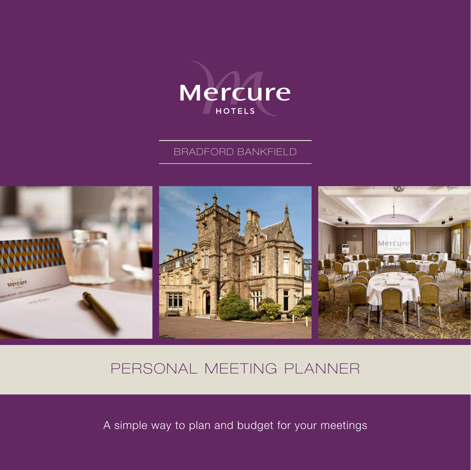

### BRADFORD BANKFIELD



# PERSONAL MEETING PLANNER

A simple way to plan and budget for your meetings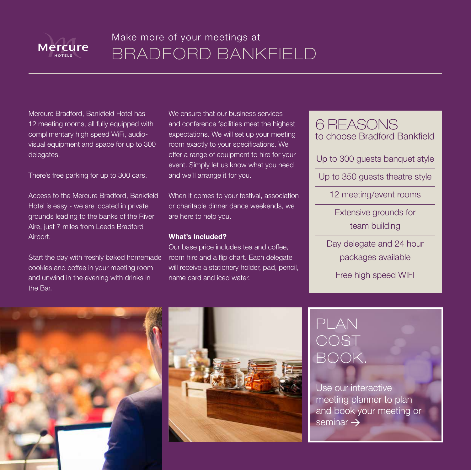

# Make more of your meetings at BRADFORD BANKFIELD

Mercure Bradford, Bankfield Hotel has 12 meeting rooms, all fully equipped with complimentary high speed WiFi, audiovisual equipment and space for up to 300 delegates.

There's free parking for up to 300 cars.

Access to the Mercure Bradford, Bankfield Hotel is easy - we are located in private grounds leading to the banks of the River Aire, just 7 miles from Leeds Bradford Airport.

Start the day with freshly baked homemade cookies and coffee in your meeting room and unwind in the evening with drinks in the Bar.

We ensure that our business services and conference facilities meet the highest expectations. We will set up your meeting room exactly to your specifications. We offer a range of equipment to hire for your event. Simply let us know what you need and we'll arrange it for you.

When it comes to your festival, association or charitable dinner dance weekends, we are here to help you.

#### **What's Included?**

Our base price includes tea and coffee, room hire and a flip chart. Each delegate will receive a stationery holder, pad, pencil, name card and iced water.

### 6 REASONS to choose Bradford Bankfield

Up to 300 guests banquet style

Up to 350 guests theatre style

12 meeting/event rooms

Extensive grounds for team building

Day delegate and 24 hour packages available

Free high speed WIFI





# PLAN **COST** BOOK.

Use our interactive meeting planner to plan and book your meeting or seminar  $\rightarrow$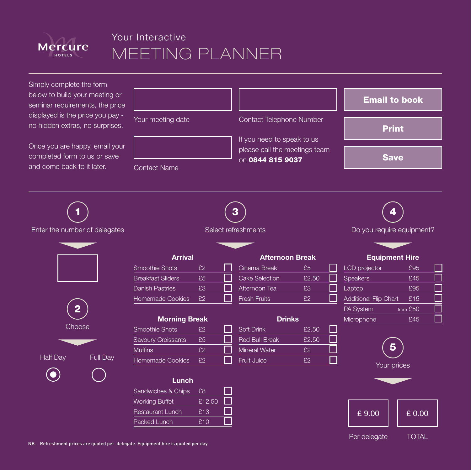

### Your Interactive MEETING PLANNER